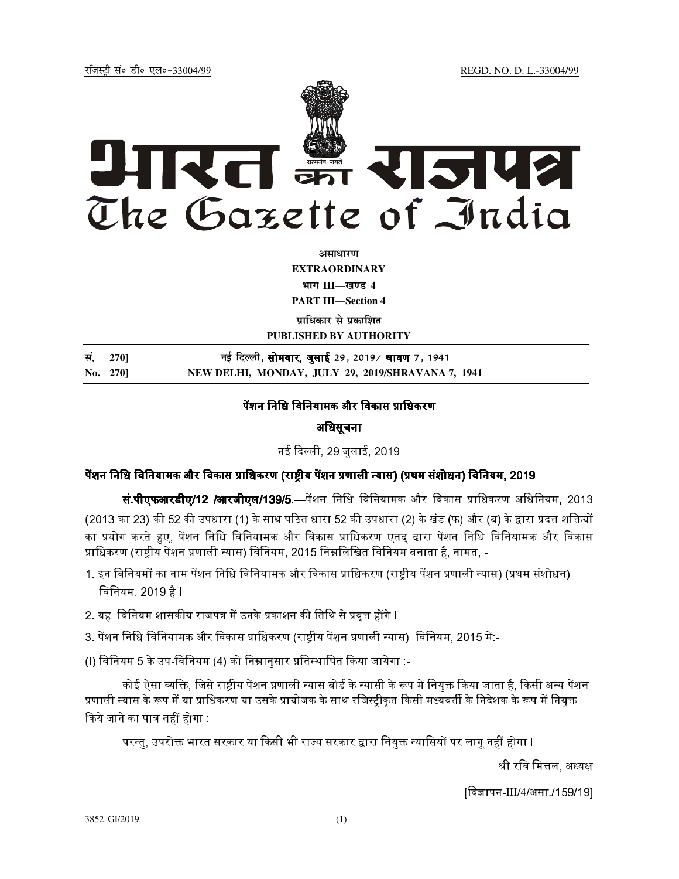jftLVªh laö Mhö ,yö&33004@99 REGD. NO. D. L.-33004/99



**vlk/kj.k EXTRAORDINARY Hkkx III—[k.M 4**

**PART III—Section 4** 

**प्राधिकार से प्रकाशित** 

**PUBLISHED BY AUTHORITY**

| सं. 270] | नई दिल्ली, सोमवार, जुलाई 29, 2019 ∕श्रावण 7, 1941 |
|----------|---------------------------------------------------|
| No. 270] | NEW DELHI, MONDAY, JULY 29, 2019/SHRAVANA 7, 1941 |

## पेंशन निधि विनियामक और विकास प्राधिकरण

अधिसूचना

नई दिल्ली, 29 जलाई, 2019

## पेंशन निधि विनियामक और विकास प्राधिकरण (राष्टीय पेंशन प्रणाली न्यास) (प्रथम संशोधन) विनियम. 2019

**सं.पीएफआरडीए/12 /आरजीएल/139/5.—**पेंशन निधि विनियामक और विकास प्राधिकरण अधिनियम. 2013 (2013 का 23) की 52 की उपधारा (1) के साथ पठित धारा 52 की उपधारा (2) के खंड (फ) और (ब) के द्वारा प्रदत्त शक्तियों का प्रयोग करते हुए. पेंशन निधि विनियामक और विकास प्राधिकरण एतद द्वारा पेंशन निधि विनियामक और विकास प्राधिकरण (राष्टीय पेंशन प्रणाली न्यास) विनियम. 2015 निम्नलिखित विनियम बनाता है. नामत. -

- 1. इन विनियमों का नाम पेंशन निधि विनियामक और विकास प्राधिकरण (राष्टीय पेंशन प्रणाली न्यास) (प्रथम संशोधन) िविनयम, 2019 है I
- 2. यह विनियम शासकीय राजपत्र में उनके प्रकाशन की तिथि से प्रवत्त होंगे I
- 3. पेंशन निधि विनियामक और विकास प्राधिकरण (राष्टीय पेंशन प्रणाली न्यास) विनियम, 2015 में:--
- (I) विनियम 5 के उप-विनियम (4) को निम्नानसार प्रतिस्थापित किया जायेगा :-

कोई ऐसा व्यक्ति. जिसे राष्टीय पेंशन प्रणाली न्यास बोर्ड के न्यासी के रूप में नियक्त किया जाता है. किसी अन्य पेंशन प्रणाली न्यास के रूप में या प्राधिकरण या उसके प्रायोजक के साथ रजिस्टीकत किसी मध्यवर्ती के निदेशक के रूप में नियक्त किये जाने का पात्र नहीं होगा :

परन्त. उपरोक्त भारत सरकार या किसी भी राज्य सरकार द्वारा नियक्त न्यासियों पर लाग नहीं होगा l

श्री रवि मित्तल, अध्यक्ष

[विज्ञापन-III/4/असा./159/19]